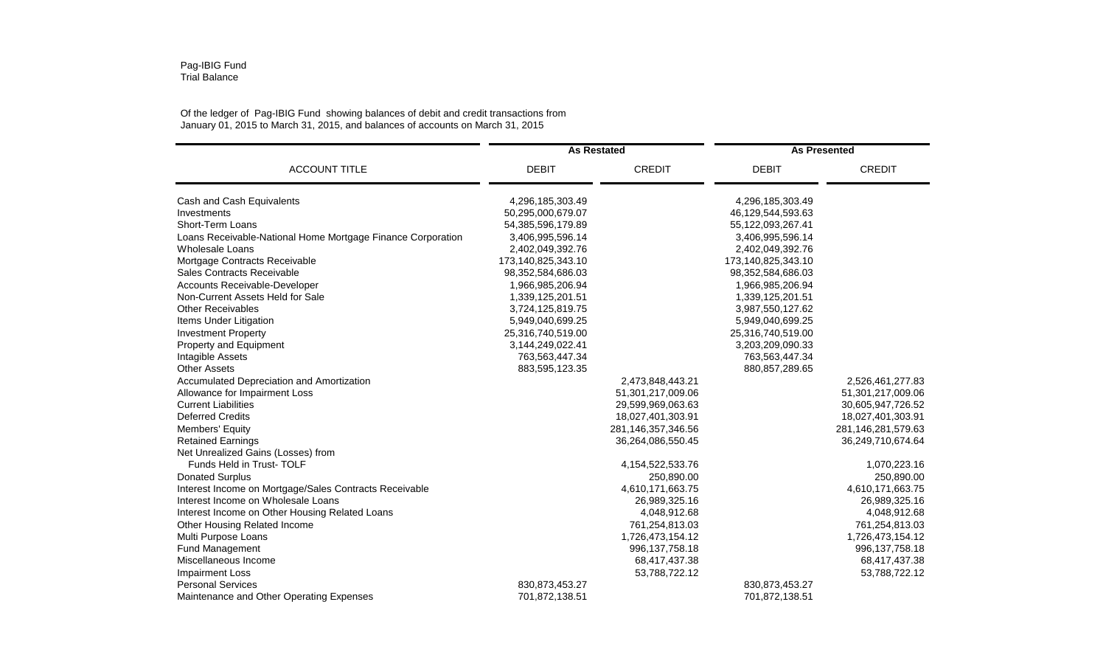## Of the ledger of Pag-IBIG Fund showing balances of debit and credit transactions from January 01, 2015 to March 31, 2015, and balances of accounts on March 31, 2015

|                                                             | <b>As Restated</b> |                    | <b>As Presented</b> |                    |
|-------------------------------------------------------------|--------------------|--------------------|---------------------|--------------------|
| <b>ACCOUNT TITLE</b>                                        | <b>DEBIT</b>       | <b>CREDIT</b>      | <b>DEBIT</b>        | <b>CREDIT</b>      |
| Cash and Cash Equivalents                                   | 4,296,185,303.49   |                    | 4,296,185,303.49    |                    |
| Investments                                                 | 50,295,000,679.07  |                    | 46,129,544,593.63   |                    |
| Short-Term Loans                                            | 54,385,596,179.89  |                    | 55,122,093,267.41   |                    |
| Loans Receivable-National Home Mortgage Finance Corporation | 3,406,995,596.14   |                    | 3,406,995,596.14    |                    |
| <b>Wholesale Loans</b>                                      | 2,402,049,392.76   |                    | 2,402,049,392.76    |                    |
| Mortgage Contracts Receivable                               | 173,140,825,343.10 |                    | 173,140,825,343.10  |                    |
| Sales Contracts Receivable                                  | 98,352,584,686.03  |                    | 98,352,584,686.03   |                    |
| Accounts Receivable-Developer                               | 1,966,985,206.94   |                    | 1,966,985,206.94    |                    |
| Non-Current Assets Held for Sale                            | 1,339,125,201.51   |                    | 1,339,125,201.51    |                    |
| <b>Other Receivables</b>                                    | 3,724,125,819.75   |                    | 3,987,550,127.62    |                    |
| Items Under Litigation                                      | 5,949,040,699.25   |                    | 5,949,040,699.25    |                    |
| <b>Investment Property</b>                                  | 25,316,740,519.00  |                    | 25,316,740,519.00   |                    |
| Property and Equipment                                      | 3,144,249,022.41   |                    | 3,203,209,090.33    |                    |
| Intagible Assets                                            | 763,563,447.34     |                    | 763,563,447.34      |                    |
| <b>Other Assets</b>                                         | 883,595,123.35     |                    | 880, 857, 289. 65   |                    |
| Accumulated Depreciation and Amortization                   |                    | 2,473,848,443.21   |                     | 2,526,461,277.83   |
| Allowance for Impairment Loss                               |                    | 51,301,217,009.06  |                     | 51,301,217,009.06  |
| <b>Current Liabilities</b>                                  |                    | 29,599,969,063.63  |                     | 30,605,947,726.52  |
| <b>Deferred Credits</b>                                     |                    | 18,027,401,303.91  |                     | 18,027,401,303.91  |
| Members' Equity                                             |                    | 281,146,357,346.56 |                     | 281,146,281,579.63 |
| <b>Retained Earnings</b>                                    |                    | 36,264,086,550.45  |                     | 36,249,710,674.64  |
| Net Unrealized Gains (Losses) from                          |                    |                    |                     |                    |
| Funds Held in Trust-TOLF                                    |                    | 4,154,522,533.76   |                     | 1,070,223.16       |
| <b>Donated Surplus</b>                                      |                    | 250,890.00         |                     | 250,890.00         |
| Interest Income on Mortgage/Sales Contracts Receivable      |                    | 4,610,171,663.75   |                     | 4,610,171,663.75   |
| Interest Income on Wholesale Loans                          |                    | 26,989,325.16      |                     | 26,989,325.16      |
| Interest Income on Other Housing Related Loans              |                    | 4,048,912.68       |                     | 4,048,912.68       |
| Other Housing Related Income                                |                    | 761,254,813.03     |                     | 761,254,813.03     |
| Multi Purpose Loans                                         |                    | 1,726,473,154.12   |                     | 1,726,473,154.12   |
| Fund Management                                             |                    | 996, 137, 758. 18  |                     | 996, 137, 758. 18  |
| Miscellaneous Income                                        |                    | 68,417,437.38      |                     | 68,417,437.38      |
| <b>Impairment Loss</b>                                      |                    | 53,788,722.12      |                     | 53,788,722.12      |
| <b>Personal Services</b>                                    | 830, 873, 453. 27  |                    | 830, 873, 453. 27   |                    |
| Maintenance and Other Operating Expenses                    | 701,872,138.51     |                    | 701,872,138.51      |                    |